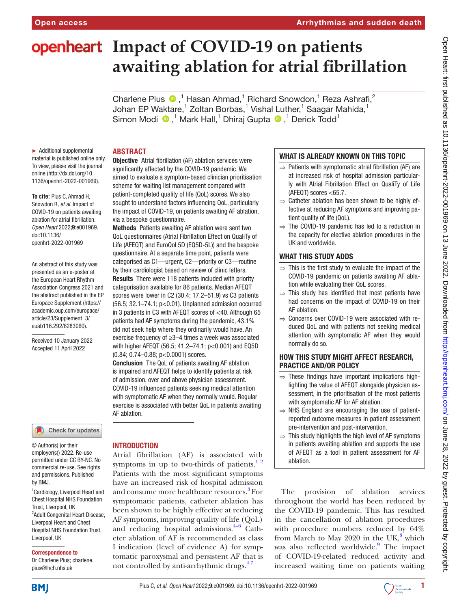# **openheart** Impact of COVID-19 on patients **awaiting ablation for atrial fibrillation**

CharlenePius <sup>®</sup>,<sup>1</sup> Hasan Ahmad,<sup>1</sup> Richard Snowdon,<sup>1</sup> Reza Ashrafi,<sup>2</sup> Johan EP Waktare,<sup>1</sup> Zoltan Borbas,<sup>1</sup> Vishal Luther,<sup>1</sup> Saagar Mahida,<sup>1</sup> SimonModi <sup>®</sup>,<sup>1</sup> Mark Hall,<sup>1</sup> Dhiraj Gupta <sup>®</sup>,<sup>1</sup> Derick Todd<sup>1</sup>

► Additional supplemental material is published online only. To view, please visit the journal online [\(http://dx.doi.org/10.](http://dx.doi.org/10.1136/openhrt-2022-001969) [1136/openhrt-2022-001969\)](http://dx.doi.org/10.1136/openhrt-2022-001969).

**To cite:** Pius C, Ahmad H, Snowdon R*, et al*. Impact of COVID-19 on patients awaiting ablation for atrial fibrillation*. Open Heart* 2022;9:e001969. doi:10.1136/ openhrt-2022-001969

An abstract of this study was presented as an e-poster at the European Heart Rhythm Association Congress 2021 and the abstract published in the EP Europace Supplement [\(https://](https://academic.oup.com/europace/article/23/Supplement_3/euab116.292/6283060) [academic.oup.com/europace/](https://academic.oup.com/europace/article/23/Supplement_3/euab116.292/6283060) [article/23/Supplement\\_3/](https://academic.oup.com/europace/article/23/Supplement_3/euab116.292/6283060) [euab116.292/6283060](https://academic.oup.com/europace/article/23/Supplement_3/euab116.292/6283060)).

Received 10 January 2022 Accepted 11 April 2022

#### Check for updates

© Author(s) (or their employer(s)) 2022. Re-use permitted under CC BY-NC. No commercial re-use. See rights and permissions. Published by BMJ.

<sup>1</sup> Cardiology, Liverpool Heart and Chest Hospital NHS Foundation Trust, Liverpool, UK <sup>2</sup> Adult Congenital Heart Disease, Liverpool Heart and Chest Hospital NHS Foundation Trust, Liverpool, UK

#### Correspondence to

Dr Charlene Pius; charlene. pius@lhch.nhs.uk

## **ABSTRACT**

Objective Atrial fibrillation (AF) ablation services were significantly affected by the COVID-19 pandemic. We aimed to evaluate a symptom-based clinician prioritisation scheme for waiting list management compared with patient-completed quality of life (QoL) scores. We also sought to understand factors influencing QoL, particularly the impact of COVID-19, on patients awaiting AF ablation, via a bespoke questionnaire.

Methods Patients awaiting AF ablation were sent two QoL questionnaires (Atrial Fibrillation Effect on QualiTy of Life (AFEQT) and EuroQol 5D (EQ5D-5L)) and the bespoke questionnaire. At a separate time point, patients were categorised as C1—urgent, C2—priority or C3—routine by their cardiologist based on review of clinic letters. Results There were 118 patients included with priority categorisation available for 86 patients. Median AFEQT scores were lower in C2 (30.4; 17.2–51.9) vs C3 patients (56.5; 32.1–74.1; p<0.01). Unplanned admission occurred in 3 patients in C3 with AFEQT scores of <40. Although 65 patients had AF symptoms during the pandemic, 43.1% did not seek help where they ordinarily would have. An exercise frequency of ≥3–4 times a week was associated with higher AFEQT (56.5; 41.2–74.1; p<0.001) and EQ5D (0.84; 0.74–0.88; p<0.0001) scores.

Conclusion The QoL of patients awaiting AF ablation is impaired and AFEQT helps to identify patients at risk of admission, over and above physician assessment. COVID-19 influenced patients seeking medical attention with symptomatic AF when they normally would. Regular exercise is associated with better QoL in patients awaiting AF ablation.

# INTRODUCTION

Atrial fibrillation (AF) is associated with symptoms in up to two-thirds of patients.<sup>12</sup> Patients with the most significant symptoms have an increased risk of hospital admission and consume more healthcare resources.<sup>[3](#page-5-1)</sup> For symptomatic patients, catheter ablation has been shown to be highly effective at reducing AF symptoms, improving quality of life (QoL) and reducing hospital admissions. $4-6$  Catheter ablation of AF is recommended as class I indication (level of evidence A) for symptomatic paroxysmal and persistent AF that is not controlled by anti-arrhythmic drugs. $47$ 

## WHAT IS ALREADY KNOWN ON THIS TOPIC

- $\Rightarrow$  Patients with symptomatic atrial fibrillation (AF) are at increased risk of hospital admission particularly with Atrial Fibrillation Effect on QualiTy of Life (AFEQT) scores <65.7.
- $\Rightarrow$  Catheter ablation has been shown to be highly effective at reducing AF symptoms and improving patient quality of life (QoL).
- $\Rightarrow$  The COVID-19 pandemic has led to a reduction in the capacity for elective ablation procedures in the UK and worldwide.

## WHAT THIS STUDY ADDS

- $\Rightarrow$  This is the first study to evaluate the impact of the COVID-19 pandemic on patients awaiting AF ablation while evaluating their QoL scores.
- $\Rightarrow$  This study has identified that most patients have had concerns on the impact of COVID-19 on their AF ablation.
- ⇒ Concerns over COVID-19 were associated with reduced QoL and with patients not seeking medical attention with symptomatic AF when they would normally do so.

## HOW THIS STUDY MIGHT AFFECT RESEARCH, PRACTICE AND/OR POLICY

- $\Rightarrow$  These findings have important implications highlighting the value of AFEQT alongside physician assessment, in the prioritisation of the most patients with symptomatic AF for AF ablation.
- ⇒ NHS England are encouraging the use of patientreported outcome measures in patient assessment pre-intervention and post-intervention.
- $\Rightarrow$  This study highlights the high level of AF symptoms in patients awaiting ablation and supports the use of AFEQT as a tool in patient assessment for AF ablation.

The provision of ablation services throughout the world has been reduced by the COVID-19 pandemic. This has resulted in the cancellation of ablation procedures with procedure numbers reduced by 64% from March to May 2020 in the UK, $8^8$  $8^8$  which was also reflected worldwide.<sup>[9](#page-5-4)</sup> The impact of COVID-19-related reduced activity and increased waiting time on patients waiting



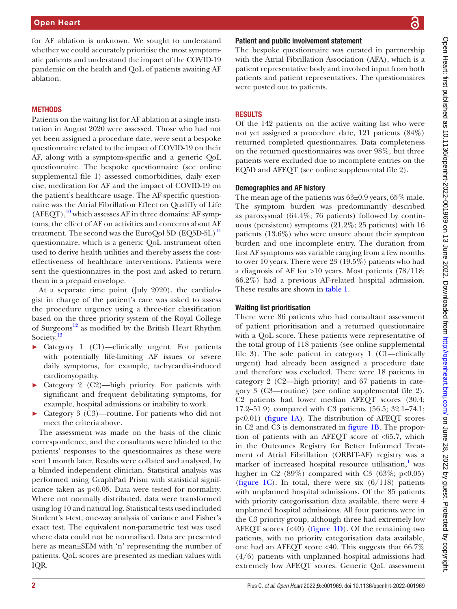for AF ablation is unknown. We sought to understand whether we could accurately prioritise the most symptomatic patients and understand the impact of the COVID-19 pandemic on the health and QoL of patients awaiting AF ablation.

## **METHODS**

Patients on the waiting list for AF ablation at a single institution in August 2020 were assessed. Those who had not yet been assigned a procedure date, were sent a bespoke questionnaire related to the impact of COVID-19 on their AF, along with a symptom-specific and a generic QoL questionnaire. The bespoke questionnaire (see [online](https://dx.doi.org/10.1136/openhrt-2022-001969) [supplemental file 1](https://dx.doi.org/10.1136/openhrt-2022-001969)) assessed comorbidities, daily exercise, medication for AF and the impact of COVID-19 on the patient's healthcare usage. The AF-specific questionnaire was the Atrial Fibrillation Effect on QualiTy of Life  $(AFEQT)$ ,<sup>10</sup> which assesses AF in three domains: AF symptoms, the effect of AF on activities and concerns about AF treatment. The second was the EuroQol 5D  $(EQ5D-5L)^{11}$ questionnaire, which is a generic QoL instrument often used to derive health utilities and thereby assess the costeffectiveness of healthcare interventions. Patients were sent the questionnaires in the post and asked to return them in a prepaid envelope.

At a separate time point (July 2020), the cardiologist in charge of the patient's care was asked to assess the procedure urgency using a three-tier classification based on the three priority system of the Royal College of Surgeons<sup>12</sup> as modified by the British Heart Rhythm Society.<sup>[13](#page-5-8)</sup>

- ► Category 1 (C1)—clinically urgent. For patients with potentially life-limiting AF issues or severe daily symptoms, for example, tachycardia-induced cardiomyopathy.
- ► Category 2 (C2)—high priority. For patients with significant and frequent debilitating symptoms, for example, hospital admissions or inability to work.
- Category 3 (C3)—routine. For patients who did not meet the criteria above.

The assessment was made on the basis of the clinic correspondence, and the consultants were blinded to the patients' responses to the questionnaires as these were sent 1month later. Results were collated and analysed, by a blinded independent clinician. Statistical analysis was performed using GraphPad Prism with statistical significance taken as p<0.05. Data were tested for normality. Where not normally distributed, data were transformed using log 10 and natural log. Statistical tests used included Student's t-test, one-way analysis of variance and Fisher's exact test. The equivalent non-parametric test was used where data could not be normalised. Data are presented here as mean±SEM with 'n' representing the number of patients. QoL scores are presented as median values with IQR.

## Patient and public involvement statement

The bespoke questionnaire was curated in partnership with the Atrial Fibrillation Association (AFA), which is a patient representative body and involved input from both patients and patient representatives. The questionnaires were posted out to patients.

# **RESULTS**

Of the 142 patients on the active waiting list who were not yet assigned a procedure date, 121 patients (84%) returned completed questionnaires. Data completeness on the returned questionnaires was over 98%, but three patients were excluded due to incomplete entries on the EQ5D and AFEQT (see [online supplemental file 2\)](https://dx.doi.org/10.1136/openhrt-2022-001969).

## Demographics and AF history

The mean age of the patients was 63±0.9 years, 65% male. The symptom burden was predominantly described as paroxysmal (64.4%; 76 patients) followed by continuous (persistent) symptoms (21.2%; 25 patients) with 16 patients (13.6%) who were unsure about their symptom burden and one incomplete entry. The duration from first AF symptoms was variable ranging from a few months to over 10 years. There were 23 (19.5%) patients who had a diagnosis of AF for >10 years. Most patients (78/118; 66.2%) had a previous AF-related hospital admission. These results are shown in [table](#page-2-0) 1.

# Waiting list prioritisation

There were 86 patients who had consultant assessment of patient prioritisation and a returned questionnaire with a QoL score. These patients were representative of the total group of 118 patients (see [online supplemental](https://dx.doi.org/10.1136/openhrt-2022-001969)  [file 3\)](https://dx.doi.org/10.1136/openhrt-2022-001969). The sole patient in category 1 (C1—clinically urgent) had already been assigned a procedure date and therefore was excluded. There were 18 patients in category 2 (C2—high priority) and 67 patients in category 3 (C3—routine) (see [online supplemental file 2\)](https://dx.doi.org/10.1136/openhrt-2022-001969). C2 patients had lower median AFEQT scores (30.4; 17.2–51.9) compared with C3 patients (56.5; 32.1–74.1; p<0.01) ([figure](#page-2-1) 1A). The distribution of AFEQT scores in C2 and C3 is demonstrated in [figure](#page-2-1) 1B. The proportion of patients with an AFEQT score of <65.7, which in the Outcomes Registry for Better Informed Treatment of Atrial Fibrillation (ORBIT-AF) registry was a marker of increased hospital resource utilisation,<sup>[1](#page-5-0)</sup> was higher in C2  $(89\%)$  compared with C3  $(63\%; p<0.05)$ [\(figure](#page-2-1) 1C). In total, there were six  $(6/118)$  patients with unplanned hospital admissions. Of the 85 patients with priority categorissation data available, there were 4 unplanned hospital admissions. All four patients were in the C3 priority group, although three had extremely low AFEQT scores  $(\leq 40)$  [\(figure](#page-2-1) 1D). Of the remaining two patients, with no priority categorisation data available, one had an AFEQT score <40. This suggests that 66.7% (4/6) patients with unplanned hospital admissions had extremely low AFEQT scores. Generic QoL assessment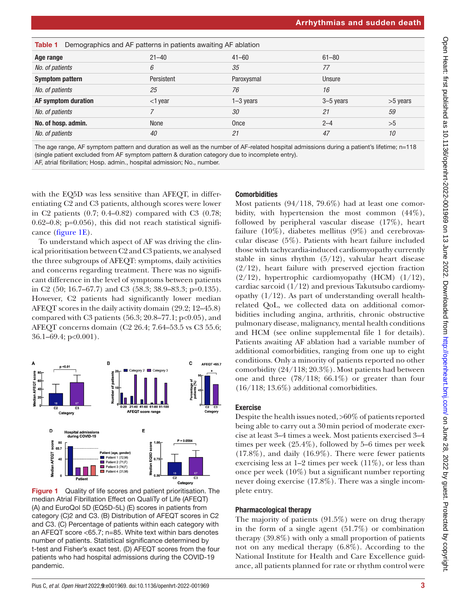<span id="page-2-0"></span>

| Demographics and AF patterns in patients awaiting AF ablation<br>Table 1 |            |             |           |            |
|--------------------------------------------------------------------------|------------|-------------|-----------|------------|
| Age range                                                                | $21 - 40$  | $41 - 60$   | $61 - 80$ |            |
| No. of patients                                                          | 6          | 35          | 77        |            |
| <b>Symptom pattern</b>                                                   | Persistent | Paroxysmal  | Unsure    |            |
| No. of patients                                                          | 25         | 76          | 16        |            |
| AF symptom duration                                                      | $<$ 1 year | $1-3$ years | 3-5 years | $>5$ years |
| No. of patients                                                          |            | 30          | 21        | 59         |
| No. of hosp. admin.                                                      | None       | Once        | $2 - 4$   | >5         |
| No. of patients                                                          | 40         | 21          | 47        | 10         |

The age range, AF symptom pattern and duration as well as the number of AF-related hospital admissions during a patient's lifetime; n=118 (single patient excluded from AF symptom pattern & duration category due to incomplete entry).

AF, atrial fibrillation; Hosp. admin., hospital admission; No., number.

with the EQ5D was less sensitive than AFEQT, in differentiating C2 and C3 patients, although scores were lower in C2 patients (0.7; 0.4–0.82) compared with C3 (0.78;  $0.62-0.8$ ; p=0.056), this did not reach statistical significance [\(figure](#page-2-1) 1E).

To understand which aspect of AF was driving the clinical prioritisation between C2 and C3 patients, we analysed the three subgroups of AFEQT: symptoms, daily activities and concerns regarding treatment. There was no significant difference in the level of symptoms between patients in C2 (50; 16.7–67.7) and C3 (58.3; 38.9–83.3; p=0.135). However, C2 patients had significantly lower median AFEQT scores in the daily activity domain (29.2; 12–45.8) compared with C3 patients  $(56.3; 20.8-77.1; p<0.05)$ , and AFEQT concerns domain (C2 26.4; 7.64–53.5 vs C3 55.6; 36.1–69.4; p<0.001).



<span id="page-2-1"></span>Figure 1 Quality of life scores and patient prioritisation. The median Atrial Fibrillation Effect on QualiTy of Life (AFEQT) (A) and EuroQol 5D (EQ5D-5L) (E) scores in patients from category (C)2 and C3. (B) Distribution of AFEQT scores in C2 and C3. (C) Percentage of patients within each category with an AFEQT score <65.7; n=85. White text within bars denotes number of patients. Statistical significance determined by t-test and Fisher's exact test. (D) AFEQT scores from the four patients who had hospital admissions during the COVID-19 pandemic.

# **Comorbidities**

Most patients (94/118, 79.6%) had at least one comorbidity, with hypertension the most common (44%), followed by peripheral vascular disease (17%), heart failure (10%), diabetes mellitus (9%) and cerebrovascular disease (5%). Patients with heart failure included those with tachycardia-induced cardiomyopathy currently stable in sinus rhythm  $(5/12)$ , valvular heart disease (2/12), heart failure with preserved ejection fraction  $(2/12)$ , hypertrophic cardiomyopathy (HCM)  $(1/12)$ , cardiac sarcoid (1/12) and previous Takutsubo cardiomyopathy  $(1/12)$ . As part of understanding overall healthrelated QoL, we collected data on additional comorbidities including angina, arthritis, chronic obstructive pulmonary disease, malignancy, mental health conditions and HCM (see [online supplemental file 1](https://dx.doi.org/10.1136/openhrt-2022-001969) for details). Patients awaiting AF ablation had a variable number of additional comorbidities, ranging from one up to eight conditions. Only a minority of patients reported no other comorbidity (24/118; 20.3%). Most patients had between one and three (78/118; 66.1%) or greater than four (16/118; 13.6%) additional comorbidities.

# Exercise

Despite the health issues noted, >60% of patients reported being able to carry out a 30min period of moderate exercise at least 3–4 times a week. Most patients exercised 3–4 times per week (25.4%), followed by 5–6 times per week (17.8%), and daily (16.9%). There were fewer patients exercising less at  $1-2$  times per week  $(11\%)$ , or less than once per week (10%) but a significant number reporting never doing exercise (17.8%). There was a single incomplete entry.

# Pharmacological therapy

The majority of patients (91.5%) were on drug therapy in the form of a single agent (51.7%) or combination therapy (39.8%) with only a small proportion of patients not on any medical therapy (6.8%). According to the National Institute for Health and Care Excellence guidance, all patients planned for rate or rhythm control were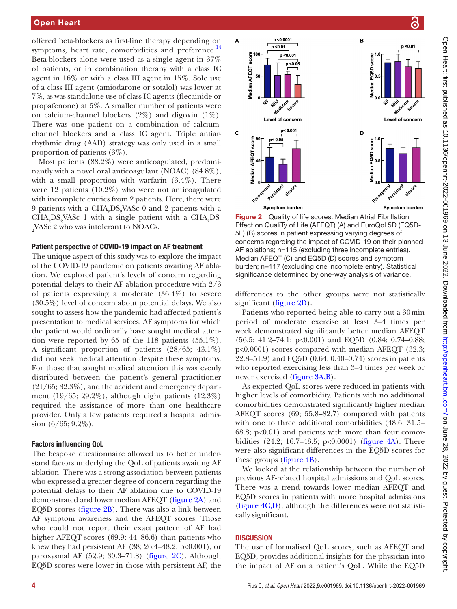offered beta-blockers as first-line therapy depending on symptoms, heart rate, comorbidities and preference. $14$ Beta-blockers alone were used as a single agent in 37% of patients, or in combination therapy with a class IC agent in 16% or with a class III agent in 15%. Sole use of a class III agent (amiodarone or sotalol) was lower at 7%, as was standalone use of class IC agents (flecainide or propafenone) at 5%. A smaller number of patients were on calcium-channel blockers  $(2\%)$  and digoxin  $(1\%)$ . There was one patient on a combination of calciumchannel blockers and a class IC agent. Triple antiarrhythmic drug (AAD) strategy was only used in a small proportion of patients (3%).

Most patients (88.2%) were anticoagulated, predominantly with a novel oral anticoagulant (NOAC) (84.8%), with a small proportion with warfarin (3.4%). There were 12 patients (10.2%) who were not anticoagulated with incomplete entries from 2 patients. Here, there were 9 patients with a CHA<sub>2</sub>DS<sub>2</sub>VASc 0 and 2 patients with a  $\text{CHA}_2\text{DS}_2\text{VASc}$  1 with a single patient with a  $\text{CHA}_2\text{DS}$  $_{2}$ VASc 2 who was intolerant to NOACs.

## Patient perspective of COVID-19 impact on AF treatment

The unique aspect of this study was to explore the impact of the COVID-19 pandemic on patients awaiting AF ablation. We explored patient's levels of concern regarding potential delays to their AF ablation procedure with 2/3 of patients expressing a moderate (36.4%) to severe (30.5%) level of concern about potential delays. We also sought to assess how the pandemic had affected patient's presentation to medical services. AF symptoms for which the patient would ordinarily have sought medical attention were reported by 65 of the 118 patients (55.1%). A significant proportion of patients (28/65; 43.1%) did not seek medical attention despite these symptoms. For those that sought medical attention this was evenly distributed between the patient's general practitioner (21/65; 32.3%), and the accident and emergency department (19/65; 29.2%), although eight patients (12.3%) required the assistance of more than one healthcare provider. Only a few patients required a hospital admission (6/65; 9.2%).

#### Factors influencing QoL

The bespoke questionnaire allowed us to better understand factors underlying the QoL of patients awaiting AF ablation. There was a strong association between patients who expressed a greater degree of concern regarding the potential delays to their AF ablation due to COVID-19 demonstrated and lower median AFEQT ([figure](#page-3-0) 2A) and EQ5D scores [\(figure](#page-3-0) 2B). There was also a link between AF symptom awareness and the AFEQT scores. Those who could not report their exact pattern of AF had higher AFEQT scores (69.9; 44–86.6) than patients who knew they had persistent AF  $(38; 26.4-48.2; p<0.001)$ , or paroxysmal AF (52.9; 30.3–71.8) [\(figure](#page-3-0) 2C). Although EQ5D scores were lower in those with persistent AF, the



<span id="page-3-0"></span>Figure 2 Quality of life scores. Median Atrial Fibrillation Effect on QualiTy of Life (AFEQT) (A) and EuroQol 5D (EQ5D-5L) (B) scores in patient expressing varying degrees of concerns regarding the impact of COVID-19 on their planned AF ablations; n=115 (excluding three incomplete entries). Median AFEQT (C) and EQ5D (D) scores and symptom burden; n=117 (excluding one incomplete entry). Statistical significance determined by one-way analysis of variance.

differences to the other groups were not statistically significant ([figure](#page-3-0) 2D).

Patients who reported being able to carry out a 30min period of moderate exercise at least 3–4 times per week demonstrated significantly better median AFEQT (56.5; 41.2–74.1; p<0.001) and EQ5D (0.84; 0.74–0.88; p<0.0001) scores compared with median AFEQT (32.3; 22.8–51.9) and EQ5D (0.64; 0.40–0.74) scores in patients who reported exercising less than 3–4 times per week or never exercised ([figure](#page-4-0) 3A,B).

As expected QoL scores were reduced in patients with higher levels of comorbidity. Patients with no additional comorbidities demonstrated significantly higher median AFEQT scores (69; 55.8–82.7) compared with patients with one to three additional comorbidities (48.6; 31.5–  $68.8$ ;  $p<0.01$ ) and patients with more than four comorbidities (24.2; 16.7–43.5; p<0.0001) ([figure](#page-4-1) 4A). There were also significant differences in the EQ5D scores for these groups [\(figure](#page-4-1) 4B).

We looked at the relationship between the number of previous AF-related hospital admissions and QoL scores. There was a trend towards lower median AFEQT and EQ5D scores in patients with more hospital admissions [\(figure](#page-4-1) 4C,D), although the differences were not statistically significant.

## **DISCUSSION**

The use of formalised QoL scores, such as AFEQT and EQ5D, provides additional insights for the physician into the impact of AF on a patient's QoL. While the EQ5D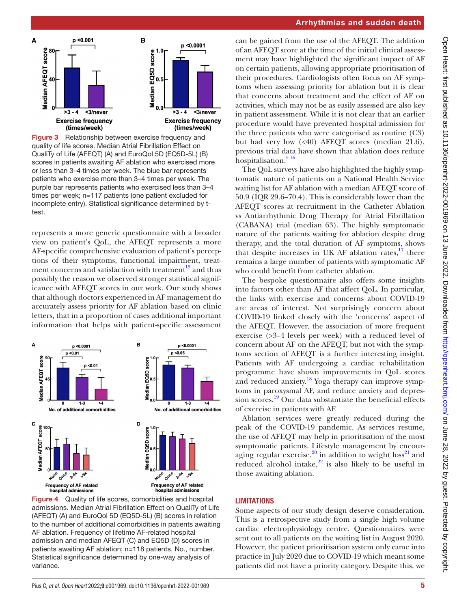

<span id="page-4-0"></span>Figure 3 Relationship between exercise frequency and quality of life scores. Median Atrial Fibrillation Effect on QualiTy of Life (AFEQT) (A) and EuroQol 5D (EQ5D-5L) (B) scores in patients awaiting AF ablation who exercised more or less than 3–4 times per week. The blue bar represents patients who exercise more than 3–4 times per week. The purple bar represents patients who exercised less than 3–4 times per week; n=117 patients (one patient excluded for incomplete entry). Statistical significance determined by ttest.

represents a more generic questionnaire with a broader view on patient's QoL, the AFEQT represents a more AF-specific comprehensive evaluation of patient's perceptions of their symptoms, functional impairment, treatment concerns and satisfaction with treatment $15$  and thus possibly the reason we observed stronger statistical significance with AFEQT scores in our work. Our study shows that although doctors experienced in AF management do accurately assess priority for AF ablation based on clinic letters, that in a proportion of cases additional important information that helps with patient-specific assessment



<span id="page-4-1"></span>**Figure 4** Quality of life scores, comorbidities and hospital admissions. Median Atrial Fibrillation Effect on QualiTy of Life (AFEQT) (A) and EuroQol 5D (EQ5D-5L) (B) scores in relation to the number of additional comorbidities in patients awaiting AF ablation. Frequency of lifetime AF-related hospital admission and median AFEQT (C) and EQ5D (D) scores in patients awaiting AF ablation; n=118 patients. No., number. Statistical significance determined by one-way analysis of variance.

## Arrhythmias and sudden death

can be gained from the use of the AFEQT. The addition of an AFEQT score at the time of the initial clinical assessment may have highlighted the significant impact of AF on certain patients, allowing appropriate prioritisation of their procedures. Cardiologists often focus on AF symptoms when assessing priority for ablation but it is clear that concerns about treatment and the effect of AF on activities, which may not be as easily assessed are also key in patient assessment. While it is not clear that an earlier procedure would have prevented hospital admission for the three patients who were categorised as routine (C3) but had very low (<40) AFEQT scores (median 21.6), previous trial data have shown that ablation does reduce hospitalisation.<sup>516</sup>

The QoL surveys have also highlighted the highly symptomatic nature of patients on a National Health Service waiting list for AF ablation with a median AFEQT score of 50.9 (IQR 29.6–70.4). This is considerably lower than the AFEQT scores at recruitment in the Catheter Ablation vs Antiarrhythmic Drug Therapy for Atrial Fibrillation (CABANA) trial (median 63). The highly symptomatic nature of the patients waiting for ablation despite drug therapy, and the total duration of AF symptoms, shows that despite increases in UK AF ablation rates, $17$  there remains a large number of patients with symptomatic AF who could benefit from catheter ablation.

The bespoke questionnaire also offers some insights into factors other than AF that affect QoL. In particular, the links with exercise and concerns about COVID-19 are areas of interest. Not surprisingly concern about COVID-19 linked closely with the 'concerns' aspect of the AFEQT. However, the association of more frequent exercise (>3–4 levels per week) with a reduced level of concern about AF on the AFEQT, but not with the symptoms section of AFEQT is a further interesting insight. Patients with AF undergoing a cardiac rehabilitation programme have shown improvements in QoL scores and reduced anxiety.<sup>18</sup> Yoga therapy can improve symptoms in paroxysmal AF, and reduce anxiety and depression scores.<sup>19</sup> Our data substantiate the beneficial effects of exercise in patients with AF.

Ablation services were greatly reduced during the peak of the COVID-19 pandemic. As services resume, the use of AFEQT may help in prioritisation of the most symptomatic patients. Lifestyle management by encour-aging regular exercise,<sup>[20](#page-6-1)</sup> in addition to weight  $loss<sup>21</sup>$  and reduced alcohol intake, $2^2$  is also likely to be useful in those awaiting ablation.

## **LIMITATIONS**

Some aspects of our study design deserve consideration. This is a retrospective study from a single high volume cardiac electrophysiology centre. Questionnaires were sent out to all patients on the waiting list in August 2020. However, the patient prioritisation system only came into practice in July 2020 due to COVID-19 which meant some patients did not have a priority category. Despite this, we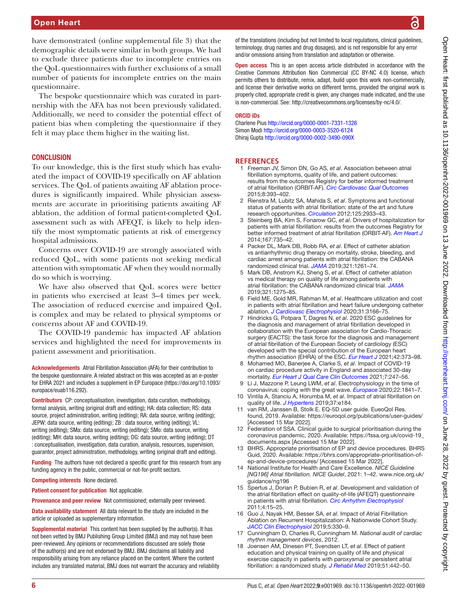## Open Heart

have demonstrated [\(online supplemental file 3\)](https://dx.doi.org/10.1136/openhrt-2022-001969) that the demographic details were similar in both groups. We had to exclude three patients due to incomplete entries on the QoL questionnaires with further exclusions of a small number of patients for incomplete entries on the main questionnaire.

The bespoke questionnaire which was curated in partnership with the AFA has not been previously validated. Additionally, we need to consider the potential effect of patient bias when completing the questionnaire if they felt it may place them higher in the waiting list.

## **CONCLUSION**

To our knowledge, this is the first study which has evaluated the impact of COVID-19 specifically on AF ablation services. The QoL of patients awaiting AF ablation procedures is significantly impaired. While physician assessments are accurate in prioritising patients awaiting AF ablation, the addition of formal patient-completed QoL assessment such as with AFEQT, is likely to help identify the most symptomatic patients at risk of emergency hospital admissions.

Concerns over COVID-19 are strongly associated with reduced QoL, with some patients not seeking medical attention with symptomatic AF when they would normally do so which is worrying.

We have also observed that QoL scores were better in patients who exercised at least 3–4 times per week. The association of reduced exercise and impaired QoL is complex and may be related to physical symptoms or concerns about AF and COVID-19.

The COVID-19 pandemic has impacted AF ablation services and highlighted the need for improvements in patient assessment and prioritisation.

Acknowledgements Atrial Fibrillation Association (AFA) for their contribution to the bespoke questionnaire. A related abstract on this was accepted as an e-poster for EHRA 2021 and includes a supplement in EP Europace [\(https://doi.org/10.1093/](https://doi.org/10.1093/europace/euab116.292) [europace/euab116.292\)](https://doi.org/10.1093/europace/euab116.292).

Contributors CP: conceptualisation, investigation, data curation, methodology, formal analysis, writing (original draft and editing); HA: data collection; RS: data source, project administration, writing (editing); RA: data source, writing (editing); JEPW: data source, writing (editing); ZB : data source, writing (editing); VL: writing (editing); SMa: data source, writing (editing); SMo: data source, writing (editing); MH: data source, writing (editing); DG: data source, writing (editing); DT : conceptualisation, investigation, data curation, analysis, resources, supervision, guarantor, project administration, methodology, writing (original draft and editing).

Funding The authors have not declared a specific grant for this research from any funding agency in the public, commercial or not-for-profit sectors.

Competing interests None declared.

Patient consent for publication Not applicable.

Provenance and peer review Not commissioned; externally peer reviewed.

Data availability statement All data relevant to the study are included in the article or uploaded as supplementary information.

Supplemental material This content has been supplied by the author(s). It has not been vetted by BMJ Publishing Group Limited (BMJ) and may not have been peer-reviewed. Any opinions or recommendations discussed are solely those of the author(s) and are not endorsed by BMJ. BMJ disclaims all liability and responsibility arising from any reliance placed on the content. Where the content includes any translated material, BMJ does not warrant the accuracy and reliability of the translations (including but not limited to local regulations, clinical guidelines, terminology, drug names and drug dosages), and is not responsible for any error and/or omissions arising from translation and adaptation or otherwise.

**Open access** This is an open access article distributed in accordance with the Creative Commons Attribution Non Commercial (CC BY-NC 4.0) license, which permits others to distribute, remix, adapt, build upon this work non-commercially, and license their derivative works on different terms, provided the original work is properly cited, appropriate credit is given, any changes made indicated, and the use is non-commercial. See: [http://creativecommons.org/licenses/by-nc/4.0/.](http://creativecommons.org/licenses/by-nc/4.0/)

#### ORCID iDs

Charlene Pius<http://orcid.org/0000-0001-7331-1326> Simon Modi <http://orcid.org/0000-0003-3520-6124> Dhiraj Gupta<http://orcid.org/0000-0002-3490-090X>

## **REFERENCES**

- <span id="page-5-0"></span>1 Freeman JV, Simon DN, Go AS, *et al*. Association between atrial fibrillation symptoms, quality of life, and patient outcomes: results from the outcomes Registry for better informed treatment of atrial fibrillation (ORBIT-AF). *[Circ Cardiovasc Qual Outcomes](http://dx.doi.org/10.1161/CIRCOUTCOMES.114.001303)* 2015;8:393–402.
- 2 Rienstra M, Lubitz SA, Mahida S, *et al*. Symptoms and functional status of patients with atrial fibrillation: state of the art and future research opportunities. *[Circulation](http://dx.doi.org/10.1161/CIRCULATIONAHA.111.069450)* 2012;125:2933–43.
- <span id="page-5-1"></span>3 Steinberg BA, Kim S, Fonarow GC, *et al*. Drivers of hospitalization for patients with atrial fibrillation: results from the outcomes Registry for better informed treatment of atrial fibrillation (ORBIT-AF). *[Am Heart J](http://dx.doi.org/10.1016/j.ahj.2014.02.003)* 2014;167:735–42.
- <span id="page-5-2"></span>4 Packer DL, Mark DB, Robb RA, *et al*. Effect of catheter ablation vs antiarrhythmic drug therapy on mortality, stroke, bleeding, and cardiac arrest among patients with atrial fibrillation: the CABANA randomized clinical trial. *[JAMA](http://dx.doi.org/10.1001/jama.2019.0693)* 2019;321:1261–74.
- <span id="page-5-11"></span>5 Mark DB, Anstrom KJ, Sheng S, *et al*. Effect of catheter ablation vs medical therapy on quality of life among patients with atrial fibrillation: the CABANA randomized clinical trial. *[JAMA](http://dx.doi.org/10.1001/jama.2019.0692)* 2019;321:1275–85.
- 6 Field ME, Gold MR, Rahman M, *et al*. Healthcare utilization and cost in patients with atrial fibrillation and heart failure undergoing catheter ablation. *[J Cardiovasc Electrophysiol](http://dx.doi.org/10.1111/jce.14774)* 2020;31:3166–75.
- 7 Hindricks G, Potpara T, Dagres N, *et al*. 2020 ESC guidelines for the diagnosis and management of atrial fibrillation developed in collaboration with the European association for Cardio-Thoracic surgery (EACTS): the task force for the diagnosis and management of atrial fibrillation of the European Society of cardiology (ESC) developed with the special contribution of the European heart rhythm association (EHRA) of the ESC. *[Eur Heart J](http://dx.doi.org/10.1093/eurheartj/ehaa612)* 2021;42:373–98.
- <span id="page-5-3"></span>8 Mohamed MO, Banerjee A, Clarke S, *et al*. Impact of COVID-19 on cardiac procedure activity in England and associated 30-day mortality. *[Eur Heart J Qual Care Clin Outcomes](http://dx.doi.org/10.1093/ehjqcco/qcaa079)* 2021;7:247–56.
- <span id="page-5-4"></span>9 Li J, Mazzone P, Leung LWM, *et al*. Electrophysiology in the time of coronavirus: coping with the great wave. *[Europace](http://dx.doi.org/10.1093/europace/euaa185)* 2020;22:1841–7.
- <span id="page-5-5"></span>10 Vintila A, Stanciu A, Horumba M, *et al*. Impact of atrial fibrillation on quality of life. *[J Hypertens](http://dx.doi.org/10.1097/01.hjh.0000572360.09405.f4)* 2019;37:e184.
- <span id="page-5-6"></span>11 van RM, Janssen B, Stolk E. EQ-5D user guide. EueoQol Res. found, 2019. Available:<https://euroqol.org/publications/user-guides/> [Accessed 15 Mar 2022].
- <span id="page-5-7"></span>12 Federation of SSA. Clinical guide to surgical prioritisation during the coronavirus pandemic, 2020. Available: [https://fssa.org.uk/covid-19\\_](https://fssa.org.uk/covid-19_documents.aspx) [documents.aspx](https://fssa.org.uk/covid-19_documents.aspx) [Accessed 15 Mar 2022].
- <span id="page-5-8"></span>13 BHRS. Appropriate prioritisation of EP and device procedures. BHRS Guid, 2020. Available: [https://bhrs.com/appropriate-prioritisation-of](https://bhrs.com/appropriate-prioritisation-of-ep-and-device-procedures/)[ep-and-device-procedures/](https://bhrs.com/appropriate-prioritisation-of-ep-and-device-procedures/) [Accessed 15 Mar 2022].
- <span id="page-5-9"></span>14 National Institute for Health and Care Excellence. *NICE Guideline [NG196] Atrial fibrillation. NICE Guidel*, 2021: 1–42. [www.nice.org.uk/](www.nice.org.uk/guidance/ng196) [guidance/ng196](www.nice.org.uk/guidance/ng196)
- <span id="page-5-10"></span>15 Spertus J, Dorian P, Bubien R, *et al*. Development and validation of the atrial fibrillation effect on quality-of-life (AFEQT) questionnaire in patients with atrial fibrillation. *[Circ Arrhythm Electrophysiol](http://dx.doi.org/10.1161/CIRCEP.110.958033)* 2011;4:15–25.
- 16 Guo J, Nayak HM, Besser SA, *et al*. Impact of Atrial Fibrillation Ablation on Recurrent Hospitalization: A Nationwide Cohort Study. *[JACC Clin Electrophysiol](http://dx.doi.org/10.1016/j.jacep.2018.10.015)* 2019;5:330–9.
- <span id="page-5-12"></span>17 Cunningham D, Charles R, Cunningham M. *National audit of cardiac rhythm management devices*, 2012.
- <span id="page-5-13"></span>18 Joensen AM, Dinesen PT, Svendsen LT, *et al*. Effect of patient education and physical training on quality of life and physical exercise capacity in patients with paroxysmal or persistent atrial fibrillation: a randomized study. *[J Rehabil Med](http://dx.doi.org/10.2340/16501977-2551)* 2019;51:442–50.